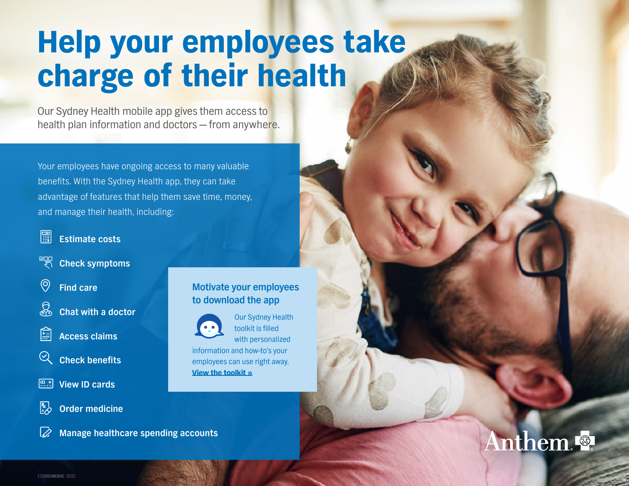# Help your employees take charge of their health

Our Sydney Health mobile app gives them access to health plan information and doctors — from anywhere.

Your employees have ongoing access to many valuable benefits. With the Sydney Health app, they can take advantage of features that help them save time, money, and manage their health, including:



#### **Estimate costs**

- ∏∞ ⊠ **Check symptoms**
- $\circledcirc$ **Find care**



**Chat with a doctor**



**Check benefits**

- **P.t.** View ID cards
- $\frac{R}{2}$ **Order medicine**



### **Motivate your employees to download the app**



Our Sydney Health toolkit is filled with personalized

information and how-to's your employees can use right away. [View the toolkit »](#page--1-0)